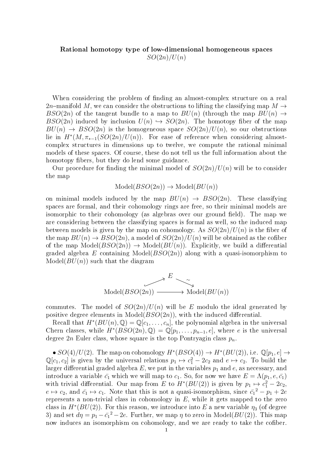## Rational homotopy type of low-dimensional homogeneous spaces  $SO(2n)/U(n)$

When considering the problem of finding an almost-complex structure on a real 2n-manifold M, we can consider the obstructions to lifting the classifying map  $M \rightarrow$ BSO(2n) of the tangent bundle to a map to  $BU(n)$  (through the map  $BU(n) \rightarrow$  $BSO(2n)$  induced by inclusion  $U(n) \hookrightarrow SO(2n)$ . The homotopy fiber of the map  $BU(n) \rightarrow BSO(2n)$  is the homogeneous space  $SO(2n)/U(n)$ , so our obstructions lie in  $H^*(M, \pi_{*-1}(SO(2n)/U(n))$ . For ease of reference when considering almostcomplex structures in dimensions up to twelve, we compute the rational minimal models of these spaces. Of course, these do not tell us the full information about the homotopy fibers, but they do lend some guidance.

Our procedure for finding the minimal model of  $SO(2n)/U(n)$  will be to consider the map

$$
Model(BSO(2n)) \to Model(BU(n))
$$

on minimal models induced by the map  $BU(n) \rightarrow BSO(2n)$ . These classifying spaces are formal, and their cohomology rings are free, so their minimal models are isomorphic to their cohomology (as algebras over our ground field). The map we are considering between the classifying spaces is formal as well, so the induced map between models is given by the map on cohomology. As  $SO(2n)/U(n)$  is the fiber of the map  $BU(n) \to BSO(2n)$ , a model of  $SO(2n)/U(n)$  will be obtained as the cofiber of the map  $Model(BSO(2n)) \rightarrow Model(BU(n))$ . Explicitly, we build a differential graded algebra E containing Model( $BSO(2n)$ ) along with a quasi-isomorphism to  $\text{Model}(BU(n))$  such that the diagram

$$
\overbrace{B \cup B \cup B \cup B \cup C}(B \cup B \cup C)
$$
  
Model
$$
(B \cup B \cup C)
$$
  
Model
$$
(B \cup C)
$$

commutes. The model of  $SO(2n)/U(n)$  will be E modulo the ideal generated by positive degree elements in Model( $BSO(2n)$ ), with the induced differential.

Recall that  $H^*(BU(n),\mathbb{Q}) = \mathbb{Q}[c_1,\ldots,c_n]$ , the polynomial algebra in the universal Chern classes, while  $H^*(BSO(2n),\mathbb{Q}) = \mathbb{Q}[p_1,\ldots,p_{n-1},e],$  where e is the universal degree  $2n$  Euler class, whose square is the top Pontryagin class  $p_n$ .

•  $SO(4)/U(2)$ . The map on cohomology  $H^*(BSO(4)) \to H^*(BU(2))$ , i.e.  $\mathbb{Q}[p_1, e] \to$  $\mathbb{Q}[c_1, c_2]$  is given by the universal relations  $p_1 \mapsto c_1^2 - 2c_2$  and  $e \mapsto c_2$ . To build the larger differential graded algebra  $E$ , we put in the variables  $p_1$  and  $e$ , as necessary, and introduce a variable  $\bar{c}_1$  which we will map to  $c_1$ . So, for now we have  $E = \Lambda(p_1, e, \bar{c}_1)$ with trivial differential. Our map from E to  $H^*(BU(2))$  is given by  $p_1 \mapsto c_1^2 - 2c_2$ ,  $e \mapsto c_2$ , and  $\bar{c_1} \mapsto c_1$ . Note that this is not a quasi-isomorphism, since  $\bar{c_1}^2 - p_1 + 2e$ represents a non-trivial class in cohomology in  $E$ , while it gets mapped to the zero class in  $H^*(BU(2))$ . For this reason, we introduce into  $E$  a new variable  $\eta_3$  (of degree 3) and set  $d\eta = p_1 - \bar{c_1}^2 - 2e$ . Further, we map  $\eta$  to zero in Model( $BU(2)$ ). This map now induces an isomorphism on cohomology, and we are ready to take the cofiber.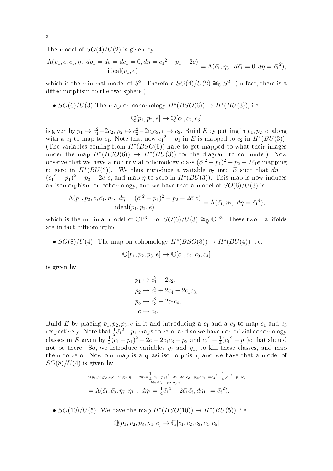The model of  $SO(4)/U(2)$  is given by

$$
\frac{\Lambda(p_1, e, \bar{c}_1, \eta, dp_1 = de = d\bar{c}_1 = 0, d\eta = \bar{c}_1^2 - p_1 + 2e)}{ideal(p_1, e)} = \Lambda(\bar{c}_1, \eta_3, d\bar{c}_1 = 0, d\eta = \bar{c}_1^2),
$$

which is the minimal model of  $S^2$ . Therefore  $SO(4)/U(2) \cong_{\mathbb{Q}} S^2$ . (In fact, there is a diffeomorphism to the two-sphere.)

•  $SO(6)/U(3)$  The map on cohomology  $H^*(BSO(6)) \to H^*(BU(3))$ , i.e.

$$
\mathbb{Q}[p_1, p_2, e] \to \mathbb{Q}[c_1, c_2, c_3]
$$

is given by  $p_1 \mapsto c_1^2-2c_2, p_2 \mapsto c_2^2-2c_1c_3, e \mapsto c_3$ . Build E by putting in  $p_1, p_2, e$ , along with a  $\bar{c_1}$  to map to  $c_1$ . Note that now  $\bar{c_1}^2 - p_1$  in E is mapped to  $c_2$  in  $H^*(BU(3))$ . (The variables coming from  $H^*(BSO(6))$  have to get mapped to what their images under the map  $H^*(BSO(6)) \to H^*(BU(3))$  for the diagram to commute.) Now observe that we have a non-trivial cohomology class  $(\bar{c_1}^2 - p_1)^2 - p_2 - 2 \bar{c_1} e$  mapping to zero in  $H^*(BU(3))$ . We thus introduce a variable  $\eta_7$  into E such that  $d\eta =$  $(\bar{c_1}^2 - p_1)^2 - p_2 - 2\bar{c_1}e$ , and map  $\eta$  to zero in  $H^*(BU(3))$ . This map is now induces an isomorphism on cohomology, and we have that a model of  $SO(6)/U(3)$  is

$$
\frac{\Lambda(p_1, p_2, e, \bar{c}_1, \eta_7, d\eta = (\bar{c}_1^2 - p_1)^2 - p_2 - 2\bar{c}_1 e)}{ideal(p_1, p_2, e)} = \Lambda(\bar{c}_1, \eta_7, d\eta = \bar{c}_1^4),
$$

which is the minimal model of  $\mathbb{CP}^3$ . So,  $SO(6)/U(3) \cong_{\mathbb{Q}} \mathbb{CP}^3$ . These two manifolds are in fact diffeomorphic.

•  $SO(8)/U(4)$ . The map on cohomology  $H^*(BSO(8)) \to H^*(BU(4))$ , i.e.

$$
\mathbb{Q}[p_1, p_2, p_3, e] \to \mathbb{Q}[c_1, c_2, c_3, c_4]
$$

is given by

$$
p_1 \mapsto c_1^2 - 2c_2,
$$
  
\n
$$
p_2 \mapsto c_2^2 + 2c_4 - 2c_1c_3,
$$
  
\n
$$
p_3 \mapsto c_3^2 - 2c_2c_4,
$$
  
\n
$$
e \mapsto c_4.
$$

Build E by placing  $p_1, p_2, p_3, e$  in it and introducing a  $\bar{c}_1$  and a  $\bar{c}_3$  to map  $c_1$  and  $c_3$ respectively. Note that  $\frac{1}{2}\bar{c_1}^2 - p_1$  maps to zero, and so we have non-trivial cohomology classes in E given by  $\frac{1}{4}(\bar{c}_1 - p_1)^2 + 2e - 2\bar{c}_1\bar{c}_3 - p_2$  and  $\bar{c}_3^2 - \frac{1}{4}$  $\frac{1}{4}(\bar{c_1}^2 - p_1)e$  that should not be there. So, we introduce variables  $\eta_7$  and  $\eta_{11}$  to kill these classes, and map them to zero. Now our map is a quasi-isomorphism, and we have that a model of  $SO(8)/U(4)$  is given by

$$
\frac{\Lambda(p_1, p_2, p_3, e, \bar{c}_1, \bar{c}_3, \eta_7, \eta_{11}, \ d\eta_7 = \frac{1}{4}(\bar{c}_1 - p_1)^2 + 2e - 2\bar{c}_1\bar{c}_3 - p_2, d\eta_{11} = \bar{c}_3^2 - \frac{1}{4}(\bar{c}_1^2 - p_1)e)}{\text{ideal}(p_1, p_2, p_3, e)} \\
= \Lambda(\bar{c}_1, \bar{c}_3, \eta_7, \eta_{11}, \ d\eta_7 = \frac{1}{4}\bar{c}_1^4 - 2\bar{c}_1\bar{c}_3, d\eta_{11} = \bar{c}_3^2).
$$

•  $SO(10)/U(5)$ . We have the map  $H^*(BSO(10)) \to H^*(BU(5))$ , i.e.  $\mathbb{O}[p_1, p_2, p_3, p_4, e] \rightarrow \mathbb{O}[c_1, c_2, c_3, c_4, c_5]$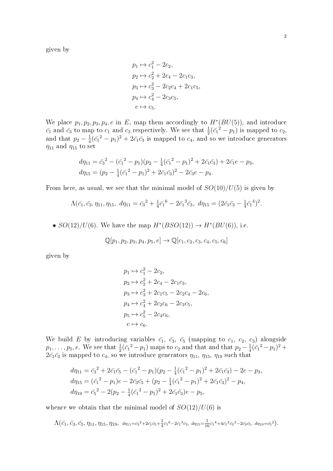given by

$$
p_1 \mapsto c_1^2 - 2c_2,
$$
  
\n
$$
p_2 \mapsto c_2^2 + 2c_4 - 2c_1c_3,
$$
  
\n
$$
p_3 \mapsto c_3^2 - 2c_2c_4 + 2c_1c_5,
$$
  
\n
$$
p_4 \mapsto c_4^2 - 2c_3c_5,
$$
  
\n
$$
e \mapsto c_5.
$$

We place  $p_1, p_2, p_3, p_4, e$  in E, map them accordingly to  $H^*(BU(5))$ , and introduce  $\bar{c_1}$  and  $\bar{c_3}$  to map to  $c_1$  and  $c_3$  respectively. We see that  $\frac{1}{2}(\bar{c_1}^2 - p_1)$  is mapped to  $c_2$ , and that  $p_2-\frac{1}{4}$  $\frac{1}{4}(\bar{c_1}^2 - p_1)^2 + 2\bar{c_1}\bar{c_3}$  is mapped to  $c_4$ , and so we introduce generators  $\eta_{11}$  and  $\eta_{15}$  to set

$$
d\eta_{11} = \bar{c_3}^2 - (\bar{c_1}^2 - p_1)(p_2 - \frac{1}{4}(\bar{c_1}^2 - p_1)^2 + 2\bar{c_1}\bar{c_3}) + 2\bar{c_1}e - p_3,
$$
  

$$
d\eta_{15} = (p_2 - \frac{1}{4}(\bar{c_1}^2 - p_1)^2 + 2\bar{c_1}\bar{c_3})^2 - 2\bar{c_3}e - p_4.
$$

From here, as usual, we see that the minimal model of  $SO(10)/U(5)$  is given by

$$
\Lambda(\bar{c}_1, \bar{c}_3, \eta_{11}, \eta_{15}, d\eta_{11} = \bar{c}_3^2 + \frac{1}{4}\bar{c}_1^6 - 2\bar{c}_1^3\bar{c}_3, d\eta_{15} = (2\bar{c}_1\bar{c}_3 - \frac{1}{4}\bar{c}_1^4)^2.
$$

•  $SO(12)/U(6)$ . We have the map  $H^*(BSO(12)) \to H^*(BU(6))$ , i.e.

$$
\mathbb{Q}[p_1, p_2, p_3, p_4, p_5, e] \to \mathbb{Q}[c_1, c_2, c_3, c_4, c_5, c_6]
$$

given by

$$
p_1 \mapsto c_1^2 - 2c_2,
$$
  
\n
$$
p_2 \mapsto c_2^2 + 2c_4 - 2c_1c_3,
$$
  
\n
$$
p_3 \mapsto c_3^2 + 2c_1c_5 - 2c_2c_4 - 2c_6,
$$
  
\n
$$
p_4 \mapsto c_4^2 + 2c_2c_6 - 2c_3c_5,
$$
  
\n
$$
p_5 \mapsto c_5^2 - 2c_4c_6,
$$
  
\n
$$
e \mapsto c_6.
$$

We build E by introducing variables  $\bar{c_1}$ ,  $\bar{c_3}$ ,  $\bar{c_5}$  (mapping to  $c_1$ ,  $c_2$ ,  $c_3$ ) alongside  $p_1, \ldots, p_5, e$ . We see that  $\frac{1}{2}(\bar{c_1}^2 - p_1)$  maps to  $c_2$  and that and that  $p_2 - \frac{1}{4}$  $\frac{1}{4}(\bar{c_1}^2 - p_1)^2 +$  $2\bar{c_1}\bar{c_3}$  is mapped to  $c_4,$  so we introduce generators  $\eta_{11},$   $\eta_{15},$   $\eta_{19}$  such that

$$
d\eta_{11} = \bar{c}_3^2 + 2\bar{c}_1\bar{c}_5 - (\bar{c}_1^2 - p_1)(p_2 - \frac{1}{4}(\bar{c}_1^2 - p_1)^2 + 2\bar{c}_1\bar{c}_3) - 2e - p_3,
$$
  
\n
$$
d\eta_{15} = (\bar{c}_1^2 - p_1)e - 2\bar{c}_3\bar{c}_5 + (p_2 - \frac{1}{4}(\bar{c}_1^2 - p_1)^2 + 2\bar{c}_1\bar{c}_3)^2 - p_4,
$$
  
\n
$$
d\eta_{19} = \bar{c}_5^2 - 2(p_2 - \frac{1}{4}(\bar{c}_1^2 - p_1)^2 + 2\bar{c}_1\bar{c}_3)e - p_5,
$$

whence we obtain that the minimal model of  $SO(12)/U(6)$  is

$$
\Lambda(\bar{c}_1, \bar{c}_3, \bar{c}_5, \eta_{11}, \eta_{15}, \eta_{19}, \eta_{11} = \bar{c}_3^2 + 2\bar{c}_1\bar{c}_5 + \frac{1}{4}\bar{c}_1^6 - 2\bar{c}_1^3\bar{c}_3, \eta_{15} = \frac{1}{16}\bar{c}_1^8 + 4\bar{c}_1^2\bar{c}_3^2 - 2\bar{c}_3\bar{c}_5, \eta_{19} = \bar{c}_5^2).
$$